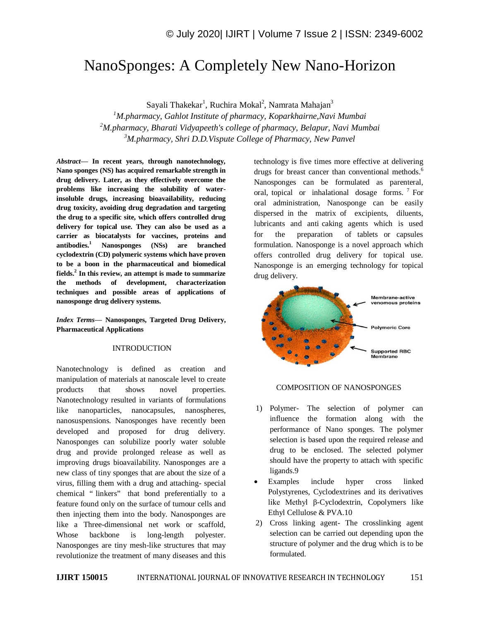# NanoSponges: A Completely New Nano-Horizon

Sayali Thakekar<sup>1</sup>, Ruchira Mokal<sup>2</sup>, Namrata Mahajan<sup>3</sup>

*<sup>1</sup>M.pharmacy, Gahlot Institute of pharmacy, Koparkhairne,Navi Mumbai <sup>2</sup>M.pharmacy, Bharati Vidyapeeth's college of pharmacy, Belapur, Navi Mumbai <sup>3</sup>M.pharmacy, Shri D.D.Vispute College of Pharmacy, New Panvel*

*Abstract—* **In recent years, through nanotechnology, Nano sponges (NS) has acquired remarkable strength in drug delivery. Later, as they effectively overcome the problems like increasing the solubility of waterinsoluble drugs, increasing bioavailability, reducing drug toxicity, avoiding drug degradation and targeting the drug to a specific site, which offers controlled drug delivery for topical use. They can also be used as a carrier as biocatalysts for vaccines, proteins and antibodies.<sup>1</sup> Nanosponges (NSs) are branched cyclodextrin (CD) polymeric systems which have proven to be a boon in the pharmaceutical and biomedical fields.<sup>2</sup> In this review, an attempt is made to summarize the methods of development, characterization techniques and possible areas of applications of nanosponge drug delivery systems.**

*Index Terms—* **Nanosponges, Targeted Drug Delivery, Pharmaceutical Applications**

#### INTRODUCTION

Nanotechnology is defined as creation and manipulation of materials at nanoscale level to create products that shows novel properties. Nanotechnology resulted in variants of formulations like nanoparticles, nanocapsules, nanospheres, nanosuspensions. Nanosponges have recently been developed and proposed for drug delivery. Nanosponges can solubilize poorly water soluble drug and provide prolonged release as well as improving drugs bioavailability. Nanosponges are a new class of tiny sponges that are about the size of a virus, filling them with a drug and attaching- special chemical " linkers" that bond preferentially to a feature found only on the surface of tumour cells and then injecting them into the body. Nanosponges are like a Three-dimensional net work or scaffold, Whose backbone is long-length polyester. Nanosponges are tiny mesh-like structures that may revolutionize the treatment of many diseases and this

technology is five times more effective at delivering drugs for breast cancer than conventional methods.<sup>6</sup> Nanosponges can be formulated as parenteral, oral, topical or inhalational dosage forms.<sup>7</sup> For oral administration, Nanosponge can be easily dispersed in the matrix of excipients, diluents, lubricants and anti caking agents which is used for the preparation of tablets or capsules formulation. Nanosponge is a novel approach which offers controlled drug delivery for topical use. Nanosponge is an emerging technology for topical drug delivery.



#### COMPOSITION OF NANOSPONGES

- 1) Polymer- The selection of polymer can influence the formation along with the performance of Nano sponges. The polymer selection is based upon the required release and drug to be enclosed. The selected polymer should have the property to attach with specific ligands.9
- Examples include hyper cross linked Polystyrenes, Cyclodextrines and its derivatives like Methyl β-Cyclodextrin, Copolymers like Ethyl Cellulose & PVA.10
- 2) Cross linking agent- The crosslinking agent selection can be carried out depending upon the structure of polymer and the drug which is to be formulated.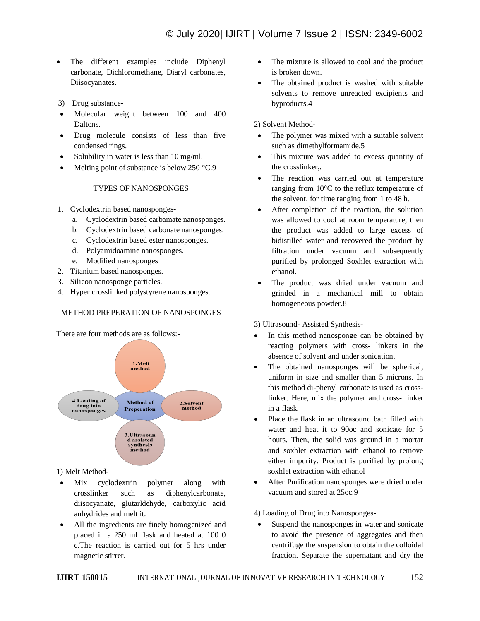- The different examples include Diphenyl carbonate, Dichloromethane, Diaryl carbonates, Diisocyanates.
- 3) Drug substance-
- Molecular weight between 100 and 400 Daltons.
- Drug molecule consists of less than five condensed rings.
- Solubility in water is less than 10 mg/ml.
- Melting point of substance is below 250 °C.9

### TYPES OF NANOSPONGES

- 1. Cyclodextrin based nanosponges
	- a. Cyclodextrin based carbamate nanosponges.
	- b. Cyclodextrin based carbonate nanosponges.
	- c. Cyclodextrin based ester nanosponges.
	- d. Polyamidoamine nanosponges.
	- e. Modified nanosponges
- 2. Titanium based nanosponges.
- 3. Silicon nanosponge particles.
- 4. Hyper crosslinked polystyrene nanosponges.

# METHOD PREPERATION OF NANOSPONGES

There are four methods are as follows:-



# 1) Melt Method-

- Mix cyclodextrin polymer along with crosslinker such as diphenylcarbonate, diisocyanate, glutarldehyde, carboxylic acid anhydrides and melt it.
- All the ingredients are finely homogenized and placed in a 250 ml flask and heated at 100 0 c.The reaction is carried out for 5 hrs under magnetic stirrer.
- The mixture is allowed to cool and the product is broken down.
- The obtained product is washed with suitable solvents to remove unreacted excipients and byproducts.4

2) Solvent Method-

- The polymer was mixed with a suitable solvent such as dimethylformamide.5
- This mixture was added to excess quantity of the crosslinker,.
- The reaction was carried out at temperature ranging from 10°C to the reflux temperature of the solvent, for time ranging from 1 to 48 h.
- After completion of the reaction, the solution was allowed to cool at room temperature, then the product was added to large excess of bidistilled water and recovered the product by filtration under vacuum and subsequently purified by prolonged Soxhlet extraction with ethanol.
- The product was dried under vacuum and grinded in a mechanical mill to obtain homogeneous powder.8

3) Ultrasound- Assisted Synthesis-

- In this method nanosponge can be obtained by reacting polymers with cross- linkers in the absence of solvent and under sonication.
- The obtained nanosponges will be spherical, uniform in size and smaller than 5 microns. In this method di-phenyl carbonate is used as crosslinker. Here, mix the polymer and cross- linker in a flask.
- Place the flask in an ultrasound bath filled with water and heat it to 90oc and sonicate for 5 hours. Then, the solid was ground in a mortar and soxhlet extraction with ethanol to remove either impurity. Product is purified by prolong soxhlet extraction with ethanol
- After Purification nanosponges were dried under vacuum and stored at 25oc.9

4) Loading of Drug into Nanosponges-

 Suspend the nanosponges in water and sonicate to avoid the presence of aggregates and then centrifuge the suspension to obtain the colloidal fraction. Separate the supernatant and dry the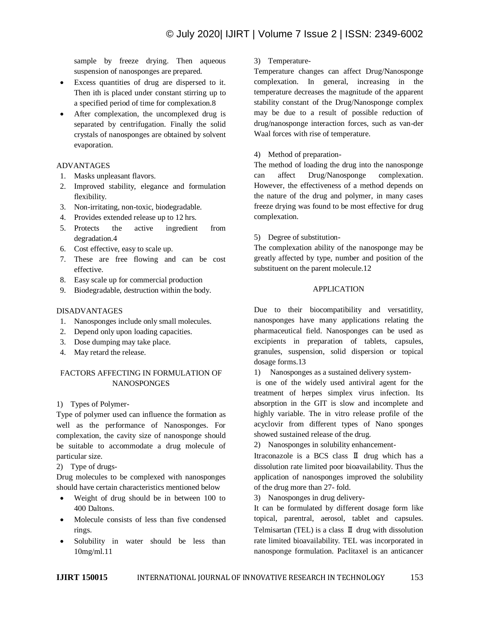sample by freeze drying. Then aqueous suspension of nanosponges are prepared.

- Excess quantities of drug are dispersed to it. Then ith is placed under constant stirring up to a specified period of time for complexation.8
- After complexation, the uncomplexed drug is separated by centrifugation. Finally the solid crystals of nanosponges are obtained by solvent evaporation.

### ADVANTAGES

- 1. Masks unpleasant flavors.
- 2. Improved stability, elegance and formulation flexibility.
- 3. Non-irritating, non-toxic, biodegradable.
- 4. Provides extended release up to 12 hrs.
- 5. Protects the active ingredient from degradation.4
- 6. Cost effective, easy to scale up.
- 7. These are free flowing and can be cost effective.
- 8. Easy scale up for commercial production
- 9. Biodegradable, destruction within the body.

## DISADVANTAGES

- 1. Nanosponges include only small molecules.
- 2. Depend only upon loading capacities.
- 3. Dose dumping may take place.
- 4. May retard the release.

# FACTORS AFFECTING IN FORMULATION OF **NANOSPONGES**

1) Types of Polymer-

Type of polymer used can influence the formation as well as the performance of Nanosponges. For complexation, the cavity size of nanosponge should be suitable to accommodate a drug molecule of particular size.

### 2) Type of drugs-

Drug molecules to be complexed with nanosponges should have certain characteristics mentioned below

- Weight of drug should be in between 100 to 400 Daltons.
- Molecule consists of less than five condensed rings.
- Solubility in water should be less than 10mg/ml.11

# 3) Temperature-

Temperature changes can affect Drug/Nanosponge complexation. In general, increasing in the temperature decreases the magnitude of the apparent stability constant of the Drug/Nanosponge complex may be due to a result of possible reduction of drug/nanosponge interaction forces, such as van-der Waal forces with rise of temperature.

## 4) Method of preparation-

The method of loading the drug into the nanosponge can affect Drug/Nanosponge complexation. However, the effectiveness of a method depends on the nature of the drug and polymer, in many cases freeze drying was found to be most effective for drug complexation.

# 5) Degree of substitution-

The complexation ability of the nanosponge may be greatly affected by type, number and position of the substituent on the parent molecule.12

# APPLICATION

Due to their biocompatibility and versatitlity, nanosponges have many applications relating the pharmaceutical field. Nanosponges can be used as excipients in preparation of tablets, capsules, granules, suspension, solid dispersion or topical dosage forms.13

1) Nanosponges as a sustained delivery system-

is one of the widely used antiviral agent for the treatment of herpes simplex virus infection. Its absorption in the GIT is slow and incomplete and highly variable. The in vitro release profile of the acyclovir from different types of Nano sponges showed sustained release of the drug.

2) Nanosponges in solubility enhancement-

Itraconazole is a BCS class Ⅱ drug which has a dissolution rate limited poor bioavailability. Thus the application of nanosponges improved the solubility of the drug more than 27- fold.

3) Nanosponges in drug delivery-

It can be formulated by different dosage form like topical, parentral, aerosol, tablet and capsules. Telmisartan (TEL) is a class  $\Pi$  drug with dissolution rate limited bioavailability. TEL was incorporated in nanosponge formulation. Paclitaxel is an anticancer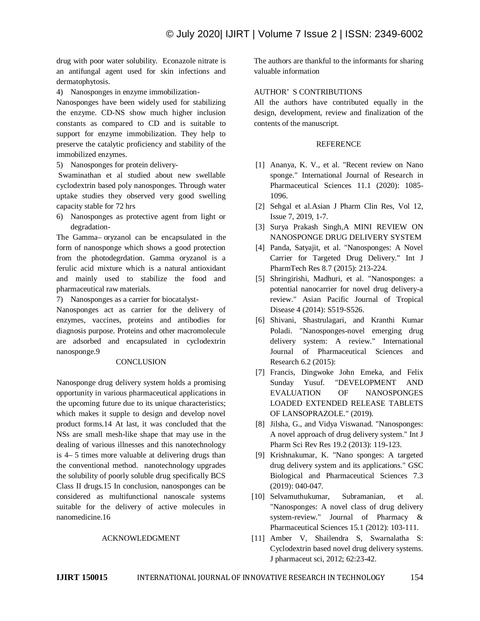drug with poor water solubility. Econazole nitrate is an antifungal agent used for skin infections and dermatophytosis.

4) Nanosponges in enzyme immobilization-

Nanosponges have been widely used for stabilizing the enzyme. CD-NS show much higher inclusion constants as compared to CD and is suitable to support for enzyme immobilization. They help to preserve the catalytic proficiency and stability of the immobilized enzymes.

5) Nanosponges for protein delivery-

Swaminathan et al studied about new swellable cyclodextrin based poly nanosponges. Through water uptake studies they observed very good swelling capacity stable for 72 hrs

6) Nanosponges as protective agent from light or degradation-

The Gamma– oryzanol can be encapsulated in the form of nanosponge which shows a good protection from the photodegrdation. Gamma oryzanol is a ferulic acid mixture which is a natural antioxidant and mainly used to stabilize the food and pharmaceutical raw materials.

7) Nanosponges as a carrier for biocatalyst-

Nanosponges act as carrier for the delivery of enzymes, vaccines, proteins and antibodies for diagnosis purpose. Proteins and other macromolecule are adsorbed and encapsulated in cyclodextrin nanosponge.9

### **CONCLUSION**

Nanosponge drug delivery system holds a promising opportunity in various pharmaceutical applications in the upcoming future due to its unique characteristics; which makes it supple to design and develop novel product forms.14 At last, it was concluded that the NSs are small mesh-like shape that may use in the dealing of various illnesses and this nanotechnology is 4– 5 times more valuable at delivering drugs than the conventional method. nanotechnology upgrades the solubility of poorly soluble drug specifically BCS Class II drugs.15 In conclusion, nanosponges can be considered as multifunctional nanoscale systems suitable for the delivery of active molecules in nanomedicine.16

#### ACKNOWLEDGMENT

The authors are thankful to the informants for sharing valuable information

#### AUTHOR' S CONTRIBUTIONS

All the authors have contributed equally in the design, development, review and finalization of the contents of the manuscript.

#### **REFERENCE**

- [1] Ananya, K. V., et al. "Recent review on Nano sponge." International Journal of Research in Pharmaceutical Sciences 11.1 (2020): 1085- 1096.
- [2] Sehgal et al.Asian J Pharm Clin Res, Vol 12, Issue 7, 2019, 1-7.
- [3] Surya Prakash Singh,A MINI REVIEW ON NANOSPONGE DRUG DELIVERY SYSTEM
- [4] Panda, Satyajit, et al. "Nanosponges: A Novel Carrier for Targeted Drug Delivery." Int J PharmTech Res 8.7 (2015): 213-224.
- [5] Shringirishi, Madhuri, et al. "Nanosponges: a potential nanocarrier for novel drug delivery-a review." Asian Pacific Journal of Tropical Disease 4 (2014): S519-S526.
- [6] Shivani, Shastrulagari, and Kranthi Kumar Poladi. "Nanosponges-novel emerging drug delivery system: A review." International Journal of Pharmaceutical Sciences and Research 6.2 (2015):
- [7] Francis, Dingwoke John Emeka, and Felix Sunday Yusuf. "DEVELOPMENT AND EVALUATION OF NANOSPONGES LOADED EXTENDED RELEASE TABLETS OF LANSOPRAZOLE." (2019).
- [8] Jilsha, G., and Vidya Viswanad. "Nanosponges: A novel approach of drug delivery system." Int J Pharm Sci Rev Res 19.2 (2013): 119-123.
- [9] Krishnakumar, K. "Nano sponges: A targeted drug delivery system and its applications." GSC Biological and Pharmaceutical Sciences 7.3 (2019): 040-047.
- [10] Selvamuthukumar, Subramanian, et al. "Nanosponges: A novel class of drug delivery system-review." Journal of Pharmacy & Pharmaceutical Sciences 15.1 (2012): 103-111.
- [11] Amber V, Shailendra S, Swarnalatha S: Cyclodextrin based novel drug delivery systems. J pharmaceut sci, 2012; 62:23-42.